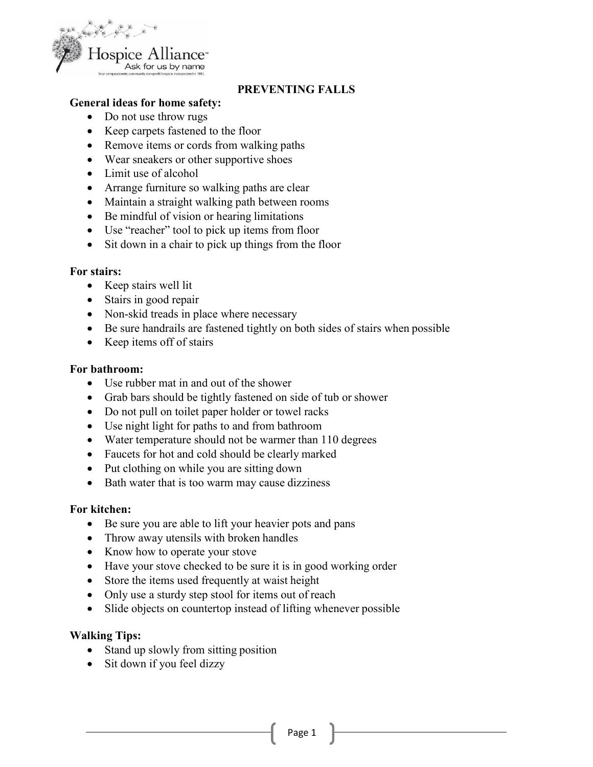

# **PREVENTING FALLS**

### **General ideas for home safety:**

- Do not use throw rugs
- Keep carpets fastened to the floor
- Remove items or cords from walking paths
- Wear sneakers or other supportive shoes
- Limit use of alcohol
- Arrange furniture so walking paths are clear
- Maintain a straight walking path between rooms
- Be mindful of vision or hearing limitations
- Use "reacher" tool to pick up items from floor
- Sit down in a chair to pick up things from the floor

#### **For stairs:**

- Keep stairs well lit
- Stairs in good repair
- Non-skid treads in place where necessary
- Be sure handrails are fastened tightly on both sides of stairs when possible
- Keep items off of stairs

#### **For bathroom:**

- Use rubber mat in and out of the shower
- Grab bars should be tightly fastened on side of tub or shower
- Do not pull on toilet paper holder or towel racks
- Use night light for paths to and from bathroom
- Water temperature should not be warmer than 110 degrees
- Faucets for hot and cold should be clearly marked
- Put clothing on while you are sitting down
- Bath water that is too warm may cause dizziness

#### **For kitchen:**

- Be sure you are able to lift your heavier pots and pans
- Throw away utensils with broken handles
- Know how to operate your stove
- Have your stove checked to be sure it is in good working order
- Store the items used frequently at waist height
- Only use a sturdy step stool for items out of reach
- Slide objects on countertop instead of lifting whenever possible

#### **Walking Tips:**

- Stand up slowly from sitting position
- Sit down if you feel dizzy